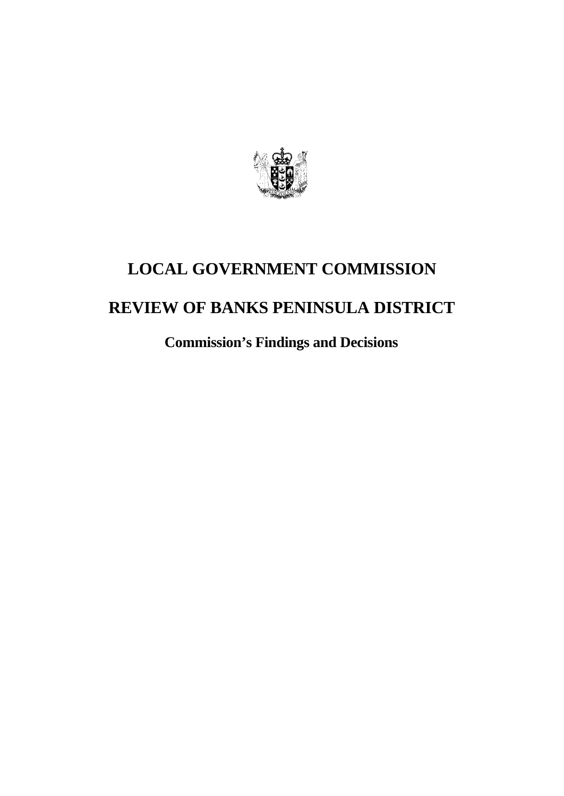

# **LOCAL GOVERNMENT COMMISSION REVIEW OF BANKS PENINSULA DISTRICT**

**Commission's Findings and Decisions**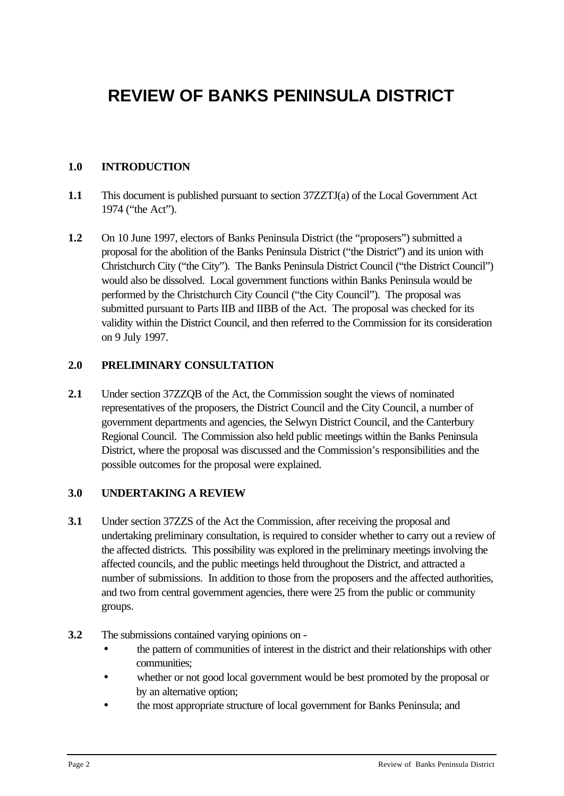# **REVIEW OF BANKS PENINSULA DISTRICT**

# **1.0 INTRODUCTION**

- **1.1** This document is published pursuant to section 37ZZTJ(a) of the Local Government Act 1974 ("the Act").
- **1.2** On 10 June 1997, electors of Banks Peninsula District (the "proposers") submitted a proposal for the abolition of the Banks Peninsula District ("the District") and its union with Christchurch City ("the City"). The Banks Peninsula District Council ("the District Council") would also be dissolved. Local government functions within Banks Peninsula would be performed by the Christchurch City Council ("the City Council"). The proposal was submitted pursuant to Parts IIB and IIBB of the Act. The proposal was checked for its validity within the District Council, and then referred to the Commission for its consideration on 9 July 1997.

#### **2.0 PRELIMINARY CONSULTATION**

**2.1** Under section 37ZZQB of the Act, the Commission sought the views of nominated representatives of the proposers, the District Council and the City Council, a number of government departments and agencies, the Selwyn District Council, and the Canterbury Regional Council. The Commission also held public meetings within the Banks Peninsula District, where the proposal was discussed and the Commission's responsibilities and the possible outcomes for the proposal were explained.

#### **3.0 UNDERTAKING A REVIEW**

- **3.1** Under section 37ZZS of the Act the Commission, after receiving the proposal and undertaking preliminary consultation, is required to consider whether to carry out a review of the affected districts. This possibility was explored in the preliminary meetings involving the affected councils, and the public meetings held throughout the District, and attracted a number of submissions. In addition to those from the proposers and the affected authorities, and two from central government agencies, there were 25 from the public or community groups.
- **3.2** The submissions contained varying opinions on
	- the pattern of communities of interest in the district and their relationships with other communities;
	- whether or not good local government would be best promoted by the proposal or by an alternative option;
	- the most appropriate structure of local government for Banks Peninsula; and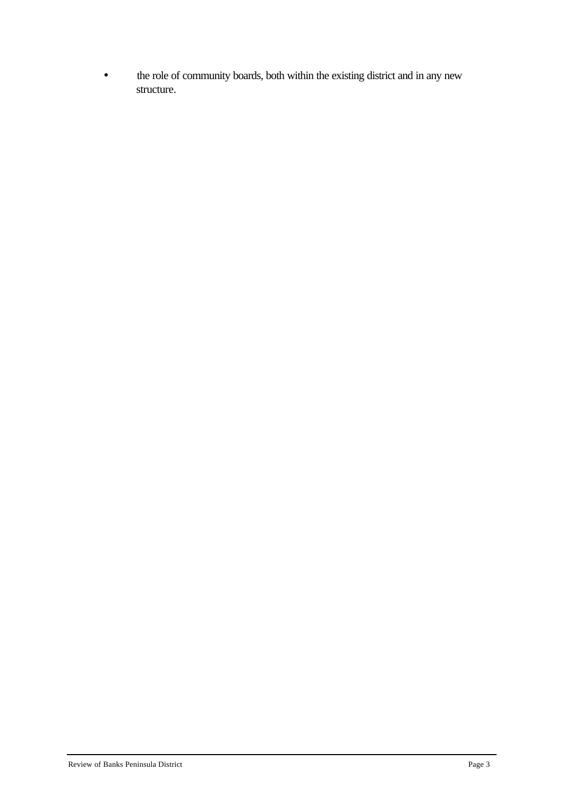• the role of community boards, both within the existing district and in any new structure.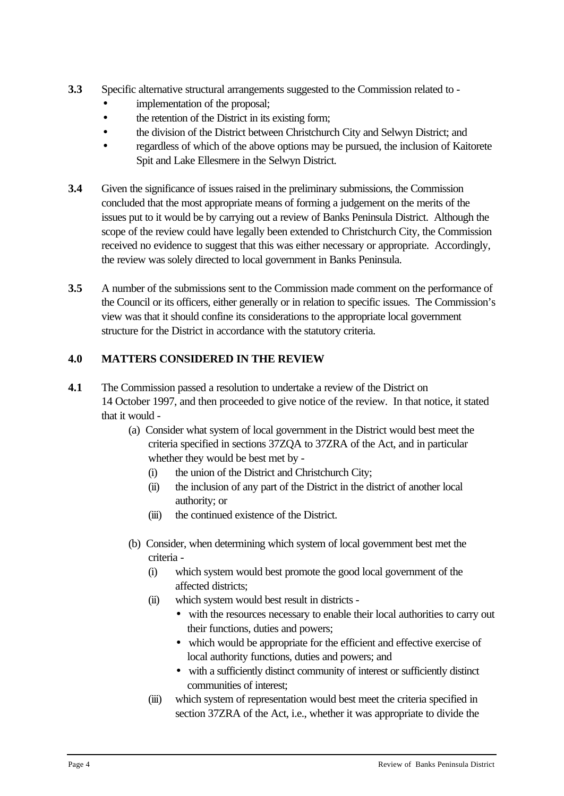- **3.3** Specific alternative structural arrangements suggested to the Commission related to
	- implementation of the proposal;
	- the retention of the District in its existing form;
	- the division of the District between Christchurch City and Selwyn District; and
	- regardless of which of the above options may be pursued, the inclusion of Kaitorete Spit and Lake Ellesmere in the Selwyn District.
- **3.4** Given the significance of issues raised in the preliminary submissions, the Commission concluded that the most appropriate means of forming a judgement on the merits of the issues put to it would be by carrying out a review of Banks Peninsula District. Although the scope of the review could have legally been extended to Christchurch City, the Commission received no evidence to suggest that this was either necessary or appropriate. Accordingly, the review was solely directed to local government in Banks Peninsula.
- **3.5** A number of the submissions sent to the Commission made comment on the performance of the Council or its officers, either generally or in relation to specific issues. The Commission's view was that it should confine its considerations to the appropriate local government structure for the District in accordance with the statutory criteria.

# **4.0 MATTERS CONSIDERED IN THE REVIEW**

- **4.1** The Commission passed a resolution to undertake a review of the District on 14 October 1997, and then proceeded to give notice of the review. In that notice, it stated that it would -
	- (a) Consider what system of local government in the District would best meet the criteria specified in sections 37ZQA to 37ZRA of the Act, and in particular whether they would be best met by -
		- (i) the union of the District and Christchurch City;
		- (ii) the inclusion of any part of the District in the district of another local authority; or
		- (iii) the continued existence of the District.
	- (b) Consider, when determining which system of local government best met the criteria -
		- (i) which system would best promote the good local government of the affected districts;
		- (ii) which system would best result in districts
			- with the resources necessary to enable their local authorities to carry out their functions, duties and powers;
			- which would be appropriate for the efficient and effective exercise of local authority functions, duties and powers; and
			- with a sufficiently distinct community of interest or sufficiently distinct communities of interest;
		- (iii) which system of representation would best meet the criteria specified in section 37ZRA of the Act, i.e., whether it was appropriate to divide the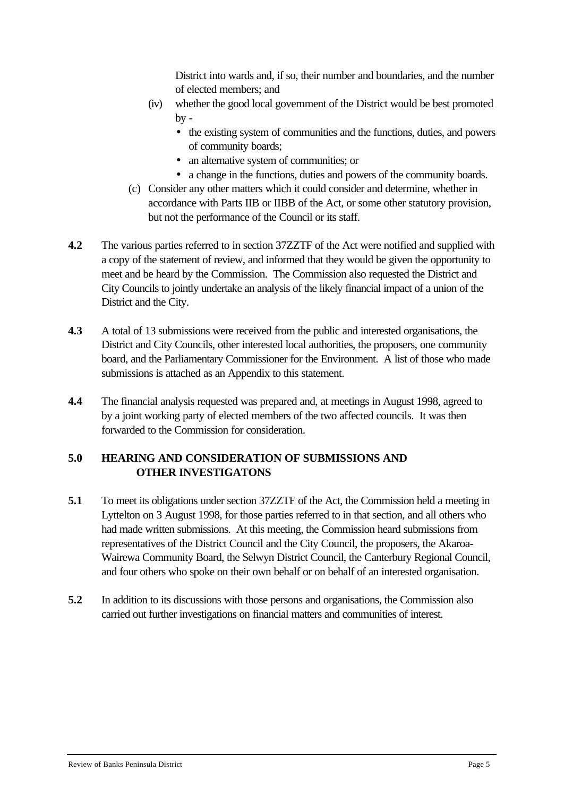District into wards and, if so, their number and boundaries, and the number of elected members; and

- (iv) whether the good local government of the District would be best promoted  $by -$ 
	- the existing system of communities and the functions, duties, and powers of community boards;
	- an alternative system of communities; or
	- a change in the functions, duties and powers of the community boards.
- (c) Consider any other matters which it could consider and determine, whether in accordance with Parts IIB or IIBB of the Act, or some other statutory provision, but not the performance of the Council or its staff.
- **4.2** The various parties referred to in section 37ZZTF of the Act were notified and supplied with a copy of the statement of review, and informed that they would be given the opportunity to meet and be heard by the Commission. The Commission also requested the District and City Councils to jointly undertake an analysis of the likely financial impact of a union of the District and the City.
- **4.3** A total of 13 submissions were received from the public and interested organisations, the District and City Councils, other interested local authorities, the proposers, one community board, and the Parliamentary Commissioner for the Environment. A list of those who made submissions is attached as an Appendix to this statement.
- **4.4** The financial analysis requested was prepared and, at meetings in August 1998, agreed to by a joint working party of elected members of the two affected councils. It was then forwarded to the Commission for consideration.

# **5.0 HEARING AND CONSIDERATION OF SUBMISSIONS AND OTHER INVESTIGATONS**

- **5.1** To meet its obligations under section 37ZZTF of the Act, the Commission held a meeting in Lyttelton on 3 August 1998, for those parties referred to in that section, and all others who had made written submissions. At this meeting, the Commission heard submissions from representatives of the District Council and the City Council, the proposers, the Akaroa-Wairewa Community Board, the Selwyn District Council, the Canterbury Regional Council, and four others who spoke on their own behalf or on behalf of an interested organisation.
- **5.2** In addition to its discussions with those persons and organisations, the Commission also carried out further investigations on financial matters and communities of interest.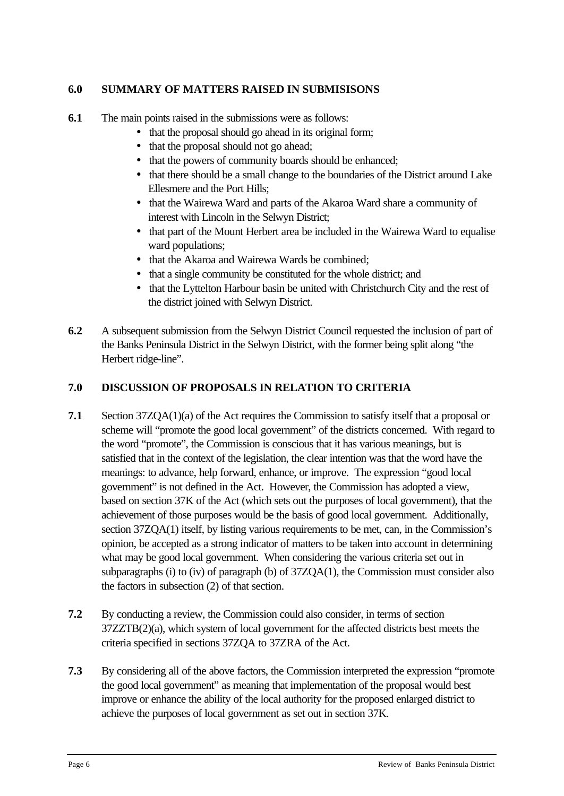# **6.0 SUMMARY OF MATTERS RAISED IN SUBMISISONS**

- **6.1** The main points raised in the submissions were as follows:
	- that the proposal should go ahead in its original form;
	- that the proposal should not go ahead;
	- that the powers of community boards should be enhanced;
	- that there should be a small change to the boundaries of the District around Lake Ellesmere and the Port Hills;
	- that the Wairewa Ward and parts of the Akaroa Ward share a community of interest with Lincoln in the Selwyn District;
	- that part of the Mount Herbert area be included in the Wairewa Ward to equalise ward populations:
	- that the Akaroa and Wairewa Wards be combined;
	- that a single community be constituted for the whole district; and
	- that the Lyttelton Harbour basin be united with Christchurch City and the rest of the district joined with Selwyn District.
- **6.2** A subsequent submission from the Selwyn District Council requested the inclusion of part of the Banks Peninsula District in the Selwyn District, with the former being split along "the Herbert ridge-line".

# **7.0 DISCUSSION OF PROPOSALS IN RELATION TO CRITERIA**

- **7.1** Section 37ZQA(1)(a) of the Act requires the Commission to satisfy itself that a proposal or scheme will "promote the good local government" of the districts concerned. With regard to the word "promote", the Commission is conscious that it has various meanings, but is satisfied that in the context of the legislation, the clear intention was that the word have the meanings: to advance, help forward, enhance, or improve. The expression "good local government" is not defined in the Act. However, the Commission has adopted a view, based on section 37K of the Act (which sets out the purposes of local government), that the achievement of those purposes would be the basis of good local government. Additionally, section 37ZQA(1) itself, by listing various requirements to be met, can, in the Commission's opinion, be accepted as a strong indicator of matters to be taken into account in determining what may be good local government. When considering the various criteria set out in subparagraphs (i) to (iv) of paragraph (b) of 37ZQA(1), the Commission must consider also the factors in subsection (2) of that section.
- **7.2** By conducting a review, the Commission could also consider, in terms of section 37ZZTB(2)(a), which system of local government for the affected districts best meets the criteria specified in sections 37ZQA to 37ZRA of the Act.
- **7.3** By considering all of the above factors, the Commission interpreted the expression "promote the good local government" as meaning that implementation of the proposal would best improve or enhance the ability of the local authority for the proposed enlarged district to achieve the purposes of local government as set out in section 37K.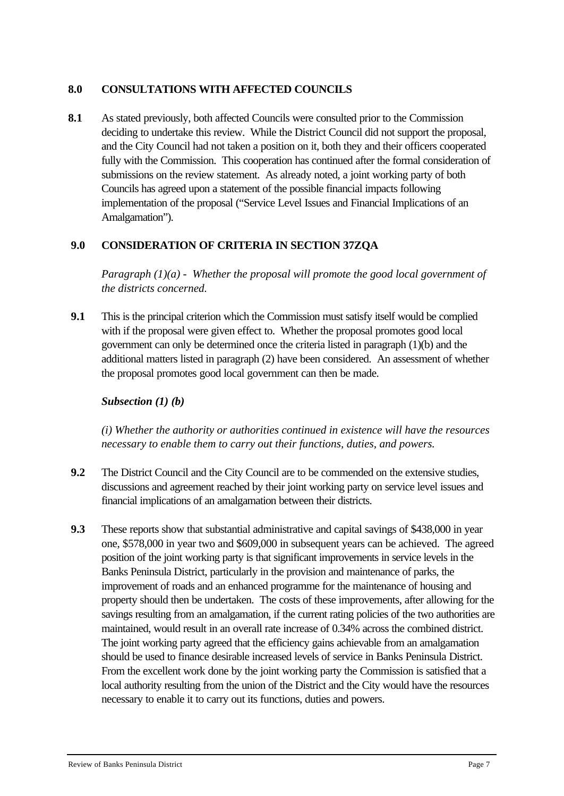#### **8.0 CONSULTATIONS WITH AFFECTED COUNCILS**

**8.1** As stated previously, both affected Councils were consulted prior to the Commission deciding to undertake this review. While the District Council did not support the proposal, and the City Council had not taken a position on it, both they and their officers cooperated fully with the Commission. This cooperation has continued after the formal consideration of submissions on the review statement. As already noted, a joint working party of both Councils has agreed upon a statement of the possible financial impacts following implementation of the proposal ("Service Level Issues and Financial Implications of an Amalgamation").

# **9.0 CONSIDERATION OF CRITERIA IN SECTION 37ZQA**

*Paragraph (1)(a) - Whether the proposal will promote the good local government of the districts concerned.*

**9.1** This is the principal criterion which the Commission must satisfy itself would be complied with if the proposal were given effect to. Whether the proposal promotes good local government can only be determined once the criteria listed in paragraph (1)(b) and the additional matters listed in paragraph (2) have been considered. An assessment of whether the proposal promotes good local government can then be made.

#### *Subsection (1) (b)*

*(i) Whether the authority or authorities continued in existence will have the resources necessary to enable them to carry out their functions, duties, and powers.*

- **9.2** The District Council and the City Council are to be commended on the extensive studies, discussions and agreement reached by their joint working party on service level issues and financial implications of an amalgamation between their districts.
- **9.3** These reports show that substantial administrative and capital savings of \$438,000 in year one, \$578,000 in year two and \$609,000 in subsequent years can be achieved. The agreed position of the joint working party is that significant improvements in service levels in the Banks Peninsula District, particularly in the provision and maintenance of parks, the improvement of roads and an enhanced programme for the maintenance of housing and property should then be undertaken. The costs of these improvements, after allowing for the savings resulting from an amalgamation, if the current rating policies of the two authorities are maintained, would result in an overall rate increase of 0.34% across the combined district. The joint working party agreed that the efficiency gains achievable from an amalgamation should be used to finance desirable increased levels of service in Banks Peninsula District. From the excellent work done by the joint working party the Commission is satisfied that a local authority resulting from the union of the District and the City would have the resources necessary to enable it to carry out its functions, duties and powers.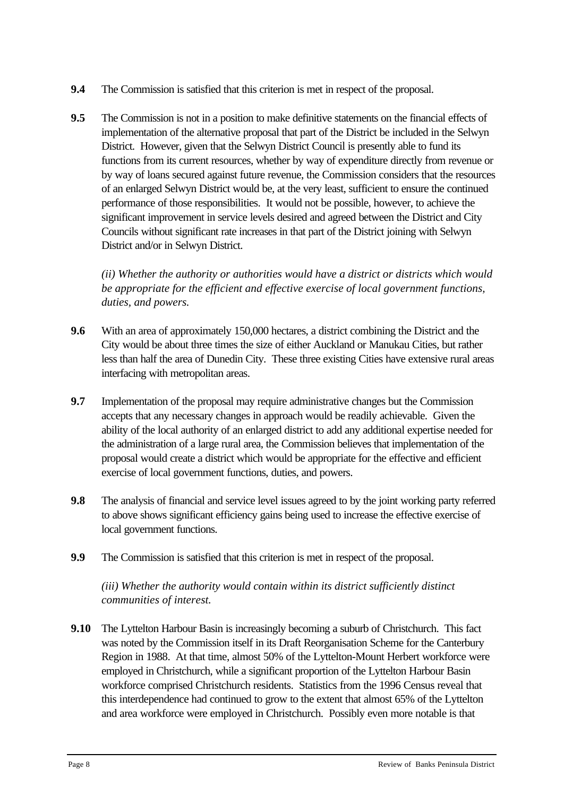- **9.4** The Commission is satisfied that this criterion is met in respect of the proposal.
- **9.5** The Commission is not in a position to make definitive statements on the financial effects of implementation of the alternative proposal that part of the District be included in the Selwyn District. However, given that the Selwyn District Council is presently able to fund its functions from its current resources, whether by way of expenditure directly from revenue or by way of loans secured against future revenue, the Commission considers that the resources of an enlarged Selwyn District would be, at the very least, sufficient to ensure the continued performance of those responsibilities. It would not be possible, however, to achieve the significant improvement in service levels desired and agreed between the District and City Councils without significant rate increases in that part of the District joining with Selwyn District and/or in Selwyn District.

*(ii) Whether the authority or authorities would have a district or districts which would be appropriate for the efficient and effective exercise of local government functions, duties, and powers.*

- **9.6** With an area of approximately 150,000 hectares, a district combining the District and the City would be about three times the size of either Auckland or Manukau Cities, but rather less than half the area of Dunedin City. These three existing Cities have extensive rural areas interfacing with metropolitan areas.
- **9.7** Implementation of the proposal may require administrative changes but the Commission accepts that any necessary changes in approach would be readily achievable. Given the ability of the local authority of an enlarged district to add any additional expertise needed for the administration of a large rural area, the Commission believes that implementation of the proposal would create a district which would be appropriate for the effective and efficient exercise of local government functions, duties, and powers.
- **9.8** The analysis of financial and service level issues agreed to by the joint working party referred to above shows significant efficiency gains being used to increase the effective exercise of local government functions.
- **9.9** The Commission is satisfied that this criterion is met in respect of the proposal.

*(iii) Whether the authority would contain within its district sufficiently distinct communities of interest.*

 **9.10** The Lyttelton Harbour Basin is increasingly becoming a suburb of Christchurch. This fact was noted by the Commission itself in its Draft Reorganisation Scheme for the Canterbury Region in 1988. At that time, almost 50% of the Lyttelton-Mount Herbert workforce were employed in Christchurch, while a significant proportion of the Lyttelton Harbour Basin workforce comprised Christchurch residents. Statistics from the 1996 Census reveal that this interdependence had continued to grow to the extent that almost 65% of the Lyttelton and area workforce were employed in Christchurch. Possibly even more notable is that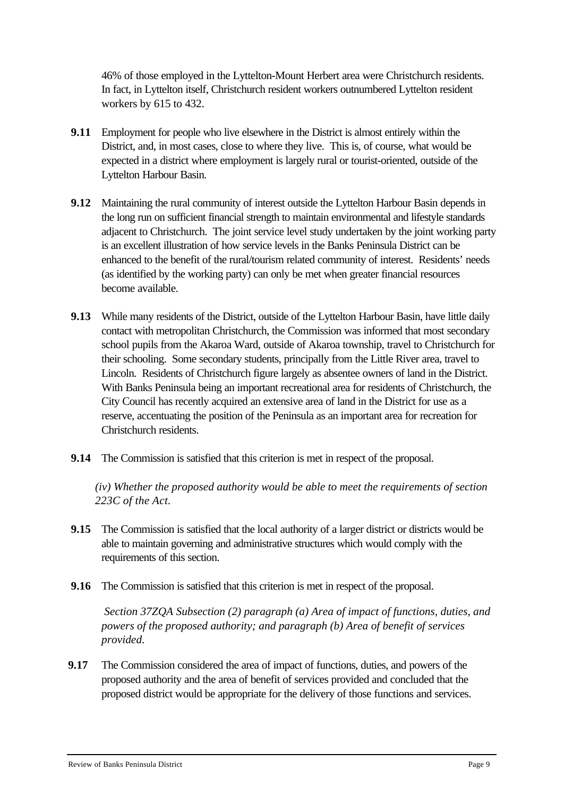46% of those employed in the Lyttelton-Mount Herbert area were Christchurch residents. In fact, in Lyttelton itself, Christchurch resident workers outnumbered Lyttelton resident workers by 615 to 432.

- **9.11** Employment for people who live elsewhere in the District is almost entirely within the District, and, in most cases, close to where they live. This is, of course, what would be expected in a district where employment is largely rural or tourist-oriented, outside of the Lyttelton Harbour Basin.
- **9.12** Maintaining the rural community of interest outside the Lyttelton Harbour Basin depends in the long run on sufficient financial strength to maintain environmental and lifestyle standards adjacent to Christchurch. The joint service level study undertaken by the joint working party is an excellent illustration of how service levels in the Banks Peninsula District can be enhanced to the benefit of the rural/tourism related community of interest. Residents' needs (as identified by the working party) can only be met when greater financial resources become available.
- **9.13** While many residents of the District, outside of the Lyttelton Harbour Basin, have little daily contact with metropolitan Christchurch, the Commission was informed that most secondary school pupils from the Akaroa Ward, outside of Akaroa township, travel to Christchurch for their schooling. Some secondary students, principally from the Little River area, travel to Lincoln. Residents of Christchurch figure largely as absentee owners of land in the District. With Banks Peninsula being an important recreational area for residents of Christchurch, the City Council has recently acquired an extensive area of land in the District for use as a reserve, accentuating the position of the Peninsula as an important area for recreation for Christchurch residents.
- **9.14** The Commission is satisfied that this criterion is met in respect of the proposal.

*(iv) Whether the proposed authority would be able to meet the requirements of section 223C of the Act.*

- **9.15** The Commission is satisfied that the local authority of a larger district or districts would be able to maintain governing and administrative structures which would comply with the requirements of this section.
- **9.16** The Commission is satisfied that this criterion is met in respect of the proposal.

 *Section 37ZQA Subsection (2) paragraph (a) Area of impact of functions, duties, and powers of the proposed authority; and paragraph (b) Area of benefit of services provided*.

**9.17** The Commission considered the area of impact of functions, duties, and powers of the proposed authority and the area of benefit of services provided and concluded that the proposed district would be appropriate for the delivery of those functions and services.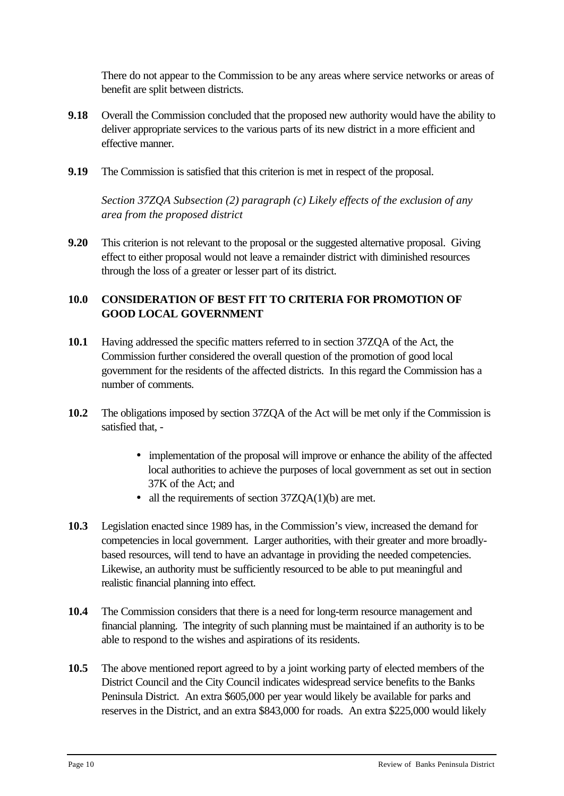There do not appear to the Commission to be any areas where service networks or areas of benefit are split between districts.

- **9.18** Overall the Commission concluded that the proposed new authority would have the ability to deliver appropriate services to the various parts of its new district in a more efficient and effective manner.
- **9.19** The Commission is satisfied that this criterion is met in respect of the proposal.

*Section 37ZQA Subsection (2) paragraph (c) Likely effects of the exclusion of any area from the proposed district*

**9.20** This criterion is not relevant to the proposal or the suggested alternative proposal. Giving effect to either proposal would not leave a remainder district with diminished resources through the loss of a greater or lesser part of its district.

# **10.0 CONSIDERATION OF BEST FIT TO CRITERIA FOR PROMOTION OF GOOD LOCAL GOVERNMENT**

- **10.1** Having addressed the specific matters referred to in section 37ZQA of the Act, the Commission further considered the overall question of the promotion of good local government for the residents of the affected districts. In this regard the Commission has a number of comments.
- **10.2** The obligations imposed by section 37ZQA of the Act will be met only if the Commission is satisfied that, -
	- implementation of the proposal will improve or enhance the ability of the affected local authorities to achieve the purposes of local government as set out in section 37K of the Act; and
	- all the requirements of section 37ZQA(1)(b) are met.
- **10.3** Legislation enacted since 1989 has, in the Commission's view, increased the demand for competencies in local government. Larger authorities, with their greater and more broadlybased resources, will tend to have an advantage in providing the needed competencies. Likewise, an authority must be sufficiently resourced to be able to put meaningful and realistic financial planning into effect.
- **10.4** The Commission considers that there is a need for long-term resource management and financial planning. The integrity of such planning must be maintained if an authority is to be able to respond to the wishes and aspirations of its residents.
- **10.5** The above mentioned report agreed to by a joint working party of elected members of the District Council and the City Council indicates widespread service benefits to the Banks Peninsula District. An extra \$605,000 per year would likely be available for parks and reserves in the District, and an extra \$843,000 for roads. An extra \$225,000 would likely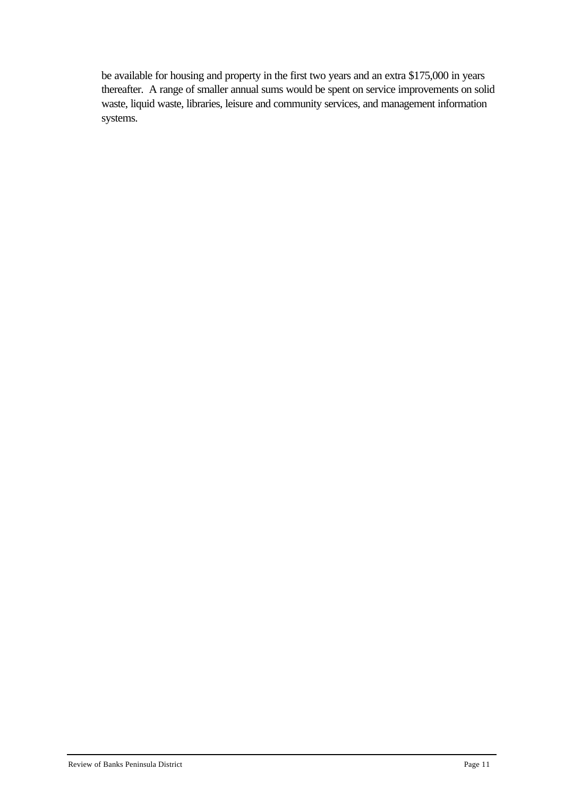be available for housing and property in the first two years and an extra \$175,000 in years thereafter. A range of smaller annual sums would be spent on service improvements on solid waste, liquid waste, libraries, leisure and community services, and management information systems.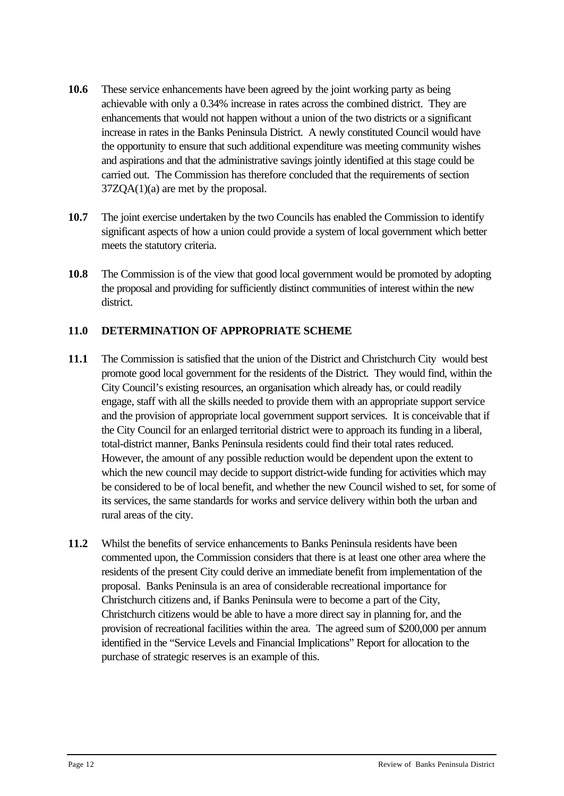- **10.6** These service enhancements have been agreed by the joint working party as being achievable with only a 0.34% increase in rates across the combined district. They are enhancements that would not happen without a union of the two districts or a significant increase in rates in the Banks Peninsula District. A newly constituted Council would have the opportunity to ensure that such additional expenditure was meeting community wishes and aspirations and that the administrative savings jointly identified at this stage could be carried out. The Commission has therefore concluded that the requirements of section 37ZQA(1)(a) are met by the proposal.
- **10.7** The joint exercise undertaken by the two Councils has enabled the Commission to identify significant aspects of how a union could provide a system of local government which better meets the statutory criteria.
- **10.8** The Commission is of the view that good local government would be promoted by adopting the proposal and providing for sufficiently distinct communities of interest within the new district.

# **11.0 DETERMINATION OF APPROPRIATE SCHEME**

- **11.1** The Commission is satisfied that the union of the District and Christchurch City would best promote good local government for the residents of the District. They would find, within the City Council's existing resources, an organisation which already has, or could readily engage, staff with all the skills needed to provide them with an appropriate support service and the provision of appropriate local government support services. It is conceivable that if the City Council for an enlarged territorial district were to approach its funding in a liberal, total-district manner, Banks Peninsula residents could find their total rates reduced. However, the amount of any possible reduction would be dependent upon the extent to which the new council may decide to support district-wide funding for activities which may be considered to be of local benefit, and whether the new Council wished to set, for some of its services, the same standards for works and service delivery within both the urban and rural areas of the city.
- **11.2** Whilst the benefits of service enhancements to Banks Peninsula residents have been commented upon, the Commission considers that there is at least one other area where the residents of the present City could derive an immediate benefit from implementation of the proposal. Banks Peninsula is an area of considerable recreational importance for Christchurch citizens and, if Banks Peninsula were to become a part of the City, Christchurch citizens would be able to have a more direct say in planning for, and the provision of recreational facilities within the area. The agreed sum of \$200,000 per annum identified in the "Service Levels and Financial Implications" Report for allocation to the purchase of strategic reserves is an example of this.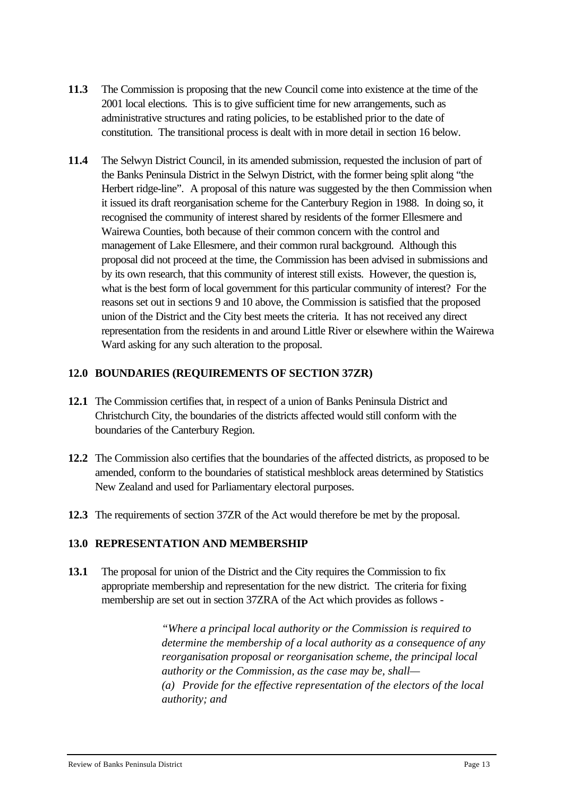- **11.3** The Commission is proposing that the new Council come into existence at the time of the 2001 local elections. This is to give sufficient time for new arrangements, such as administrative structures and rating policies, to be established prior to the date of constitution. The transitional process is dealt with in more detail in section 16 below.
- **11.4** The Selwyn District Council, in its amended submission, requested the inclusion of part of the Banks Peninsula District in the Selwyn District, with the former being split along "the Herbert ridge-line".A proposal of this nature was suggested by the then Commission when it issued its draft reorganisation scheme for the Canterbury Region in 1988. In doing so, it recognised the community of interest shared by residents of the former Ellesmere and Wairewa Counties, both because of their common concern with the control and management of Lake Ellesmere, and their common rural background. Although this proposal did not proceed at the time, the Commission has been advised in submissions and by its own research, that this community of interest still exists. However, the question is, what is the best form of local government for this particular community of interest? For the reasons set out in sections 9 and 10 above, the Commission is satisfied that the proposed union of the District and the City best meets the criteria. It has not received any direct representation from the residents in and around Little River or elsewhere within the Wairewa Ward asking for any such alteration to the proposal.

# **12.0 BOUNDARIES (REQUIREMENTS OF SECTION 37ZR)**

- **12.1** The Commission certifies that, in respect of a union of Banks Peninsula District and Christchurch City, the boundaries of the districts affected would still conform with the boundaries of the Canterbury Region.
- **12.2** The Commission also certifies that the boundaries of the affected districts, as proposed to be amended, conform to the boundaries of statistical meshblock areas determined by Statistics New Zealand and used for Parliamentary electoral purposes.
- **12.3** The requirements of section 37ZR of the Act would therefore be met by the proposal.

#### **13.0 REPRESENTATION AND MEMBERSHIP**

**13.1** The proposal for union of the District and the City requires the Commission to fix appropriate membership and representation for the new district. The criteria for fixing membership are set out in section 37ZRA of the Act which provides as follows -

> *"Where a principal local authority or the Commission is required to determine the membership of a local authority as a consequence of any reorganisation proposal or reorganisation scheme, the principal local authority or the Commission, as the case may be, shall— (a) Provide for the effective representation of the electors of the local authority; and*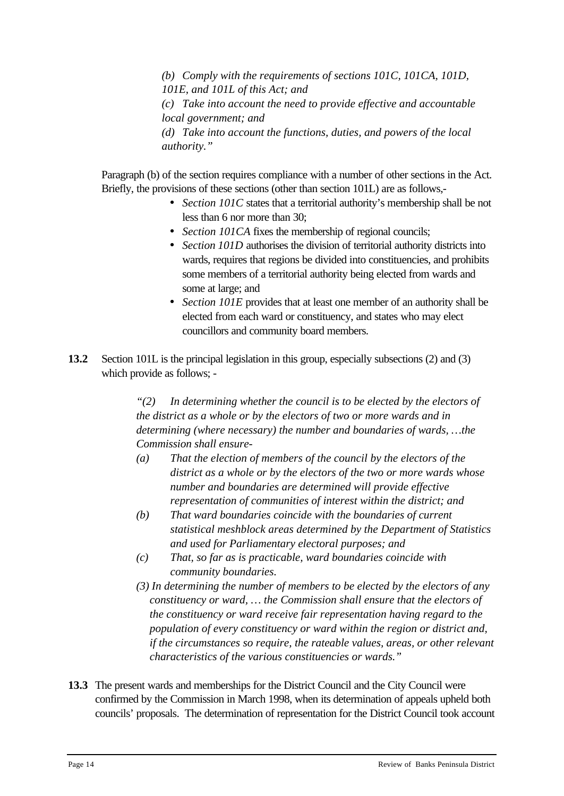*(b) Comply with the requirements of sections 101C, 101CA, 101D, 101E, and 101L of this Act; and (c) Take into account the need to provide effective and accountable local government; and (d) Take into account the functions, duties, and powers of the local authority."*

Paragraph (b) of the section requires compliance with a number of other sections in the Act. Briefly, the provisions of these sections (other than section 101L) are as follows,-

- *· Section 101C* states that a territorial authority's membership shall be not less than 6 nor more than 30;
- *· Section 101CA* fixes the membership of regional councils;
- *· Section 101D* authorises the division of territorial authority districts into wards, requires that regions be divided into constituencies, and prohibits some members of a territorial authority being elected from wards and some at large; and
- *· Section 101E* provides that at least one member of an authority shall be elected from each ward or constituency, and states who may elect councillors and community board members.
- **13.2** Section 101L is the principal legislation in this group, especially subsections (2) and (3) which provide as follows; -

*"(2) In determining whether the council is to be elected by the electors of the district as a whole or by the electors of two or more wards and in determining (where necessary) the number and boundaries of wards, …the Commission shall ensure-*

- *(a) That the election of members of the council by the electors of the district as a whole or by the electors of the two or more wards whose number and boundaries are determined will provide effective representation of communities of interest within the district; and*
- *(b) That ward boundaries coincide with the boundaries of current statistical meshblock areas determined by the Department of Statistics and used for Parliamentary electoral purposes; and*
- *(c) That, so far as is practicable, ward boundaries coincide with community boundaries.*
- *(3) In determining the number of members to be elected by the electors of any constituency or ward, … the Commission shall ensure that the electors of the constituency or ward receive fair representation having regard to the population of every constituency or ward within the region or district and, if the circumstances so require, the rateable values, areas, or other relevant characteristics of the various constituencies or wards."*
- **13.3** The present wards and memberships for the District Council and the City Council were confirmed by the Commission in March 1998, when its determination of appeals upheld both councils' proposals. The determination of representation for the District Council took account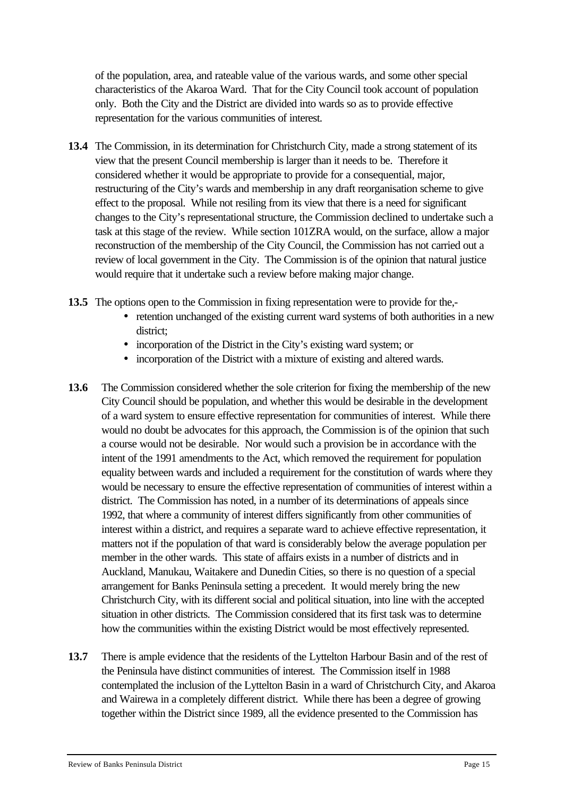of the population, area, and rateable value of the various wards, and some other special characteristics of the Akaroa Ward. That for the City Council took account of population only. Both the City and the District are divided into wards so as to provide effective representation for the various communities of interest.

- **13.4** The Commission, in its determination for Christchurch City, made a strong statement of its view that the present Council membership is larger than it needs to be. Therefore it considered whether it would be appropriate to provide for a consequential, major, restructuring of the City's wards and membership in any draft reorganisation scheme to give effect to the proposal. While not resiling from its view that there is a need for significant changes to the City's representational structure, the Commission declined to undertake such a task at this stage of the review. While section 101ZRA would, on the surface, allow a major reconstruction of the membership of the City Council, the Commission has not carried out a review of local government in the City. The Commission is of the opinion that natural justice would require that it undertake such a review before making major change.
- **13.5** The options open to the Commission in fixing representation were to provide for the,-
	- retention unchanged of the existing current ward systems of both authorities in a new district;
	- incorporation of the District in the City's existing ward system; or
	- incorporation of the District with a mixture of existing and altered wards.
- **13.6** The Commission considered whether the sole criterion for fixing the membership of the new City Council should be population, and whether this would be desirable in the development of a ward system to ensure effective representation for communities of interest. While there would no doubt be advocates for this approach, the Commission is of the opinion that such a course would not be desirable. Nor would such a provision be in accordance with the intent of the 1991 amendments to the Act, which removed the requirement for population equality between wards and included a requirement for the constitution of wards where they would be necessary to ensure the effective representation of communities of interest within a district. The Commission has noted, in a number of its determinations of appeals since 1992, that where a community of interest differs significantly from other communities of interest within a district, and requires a separate ward to achieve effective representation, it matters not if the population of that ward is considerably below the average population per member in the other wards. This state of affairs exists in a number of districts and in Auckland, Manukau, Waitakere and Dunedin Cities, so there is no question of a special arrangement for Banks Peninsula setting a precedent. It would merely bring the new Christchurch City, with its different social and political situation, into line with the accepted situation in other districts. The Commission considered that its first task was to determine how the communities within the existing District would be most effectively represented.
- **13.7** There is ample evidence that the residents of the Lyttelton Harbour Basin and of the rest of the Peninsula have distinct communities of interest. The Commission itself in 1988 contemplated the inclusion of the Lyttelton Basin in a ward of Christchurch City, and Akaroa and Wairewa in a completely different district. While there has been a degree of growing together within the District since 1989, all the evidence presented to the Commission has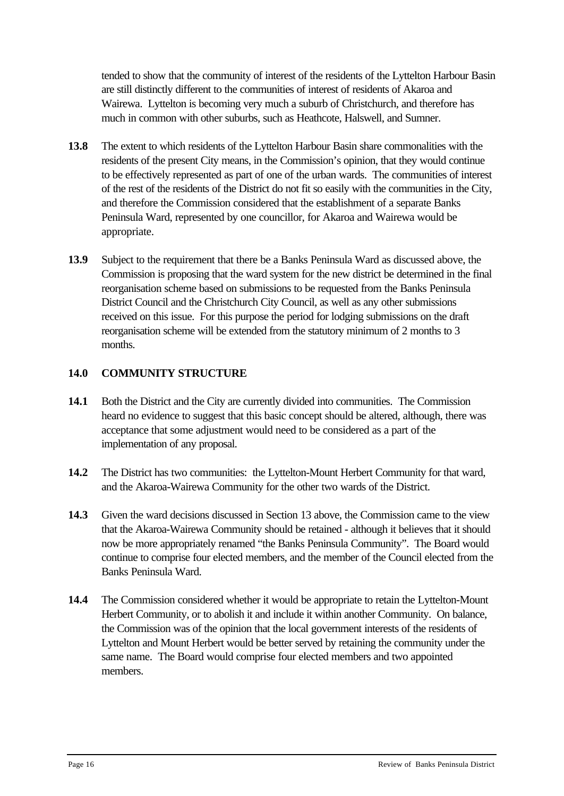tended to show that the community of interest of the residents of the Lyttelton Harbour Basin are still distinctly different to the communities of interest of residents of Akaroa and Wairewa. Lyttelton is becoming very much a suburb of Christchurch, and therefore has much in common with other suburbs, such as Heathcote, Halswell, and Sumner.

- **13.8** The extent to which residents of the Lyttelton Harbour Basin share commonalities with the residents of the present City means, in the Commission's opinion, that they would continue to be effectively represented as part of one of the urban wards. The communities of interest of the rest of the residents of the District do not fit so easily with the communities in the City, and therefore the Commission considered that the establishment of a separate Banks Peninsula Ward, represented by one councillor, for Akaroa and Wairewa would be appropriate.
- **13.9** Subject to the requirement that there be a Banks Peninsula Ward as discussed above, the Commission is proposing that the ward system for the new district be determined in the final reorganisation scheme based on submissions to be requested from the Banks Peninsula District Council and the Christchurch City Council, as well as any other submissions received on this issue. For this purpose the period for lodging submissions on the draft reorganisation scheme will be extended from the statutory minimum of 2 months to 3 months.

# **14.0 COMMUNITY STRUCTURE**

- 14.1 Both the District and the City are currently divided into communities. The Commission heard no evidence to suggest that this basic concept should be altered, although, there was acceptance that some adjustment would need to be considered as a part of the implementation of any proposal.
- **14.2** The District has two communities: the Lyttelton-Mount Herbert Community for that ward, and the Akaroa-Wairewa Community for the other two wards of the District.
- **14.3** Given the ward decisions discussed in Section 13 above, the Commission came to the view that the Akaroa-Wairewa Community should be retained - although it believes that it should now be more appropriately renamed "the Banks Peninsula Community". The Board would continue to comprise four elected members, and the member of the Council elected from the Banks Peninsula Ward.
- **14.4** The Commission considered whether it would be appropriate to retain the Lyttelton-Mount Herbert Community, or to abolish it and include it within another Community. On balance, the Commission was of the opinion that the local government interests of the residents of Lyttelton and Mount Herbert would be better served by retaining the community under the same name. The Board would comprise four elected members and two appointed members.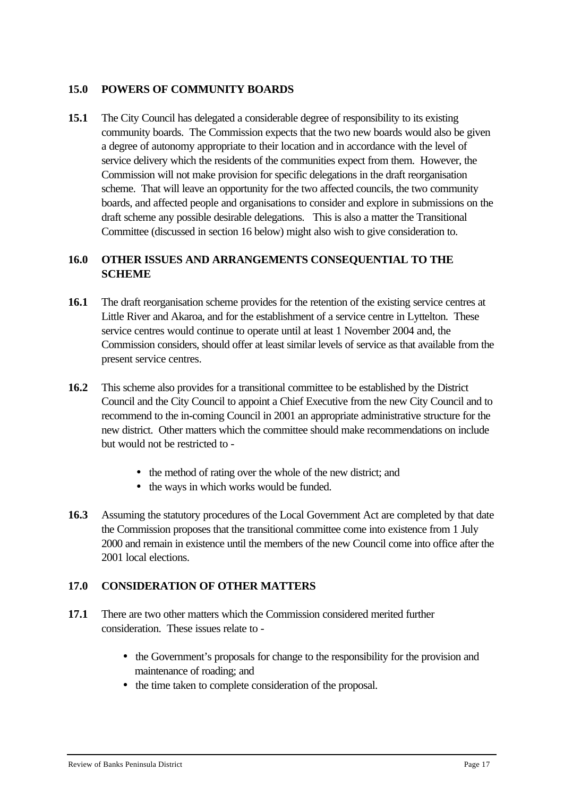#### **15.0 POWERS OF COMMUNITY BOARDS**

**15.1** The City Council has delegated a considerable degree of responsibility to its existing community boards. The Commission expects that the two new boards would also be given a degree of autonomy appropriate to their location and in accordance with the level of service delivery which the residents of the communities expect from them. However, the Commission will not make provision for specific delegations in the draft reorganisation scheme. That will leave an opportunity for the two affected councils, the two community boards, and affected people and organisations to consider and explore in submissions on the draft scheme any possible desirable delegations. This is also a matter the Transitional Committee (discussed in section 16 below) might also wish to give consideration to.

#### **16.0 OTHER ISSUES AND ARRANGEMENTS CONSEQUENTIAL TO THE SCHEME**

- **16.1** The draft reorganisation scheme provides for the retention of the existing service centres at Little River and Akaroa, and for the establishment of a service centre in Lyttelton. These service centres would continue to operate until at least 1 November 2004 and, the Commission considers, should offer at least similar levels of service as that available from the present service centres.
- **16.2** This scheme also provides for a transitional committee to be established by the District Council and the City Council to appoint a Chief Executive from the new City Council and to recommend to the in-coming Council in 2001 an appropriate administrative structure for the new district. Other matters which the committee should make recommendations on include but would not be restricted to -
	- the method of rating over the whole of the new district; and
	- the ways in which works would be funded.
- **16.3** Assuming the statutory procedures of the Local Government Act are completed by that date the Commission proposes that the transitional committee come into existence from 1 July 2000 and remain in existence until the members of the new Council come into office after the 2001 local elections.

#### **17.0 CONSIDERATION OF OTHER MATTERS**

- **17.1** There are two other matters which the Commission considered merited further consideration. These issues relate to -
	- the Government's proposals for change to the responsibility for the provision and maintenance of roading; and
	- the time taken to complete consideration of the proposal.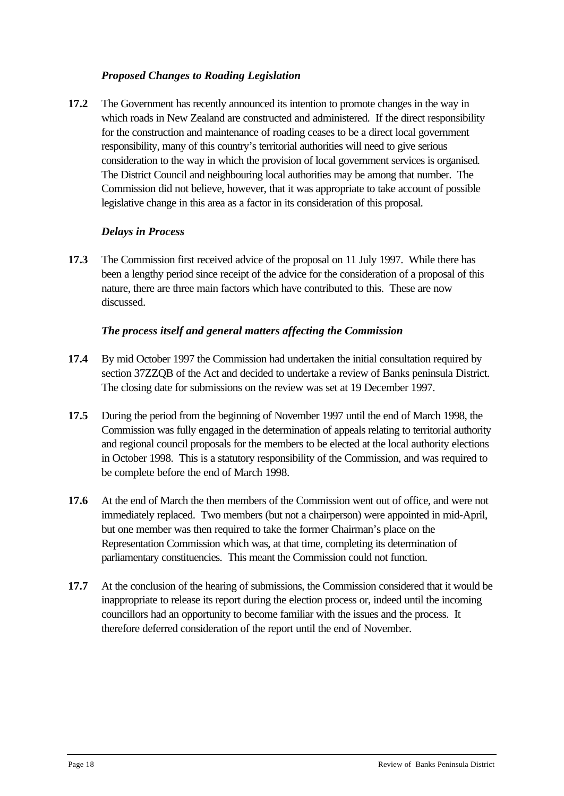# *Proposed Changes to Roading Legislation*

**17.2** The Government has recently announced its intention to promote changes in the way in which roads in New Zealand are constructed and administered. If the direct responsibility for the construction and maintenance of roading ceases to be a direct local government responsibility, many of this country's territorial authorities will need to give serious consideration to the way in which the provision of local government services is organised*.* The District Council and neighbouring local authorities may be among that number. The Commission did not believe, however, that it was appropriate to take account of possible legislative change in this area as a factor in its consideration of this proposal.

#### *Delays in Process*

**17.3** The Commission first received advice of the proposal on 11 July 1997. While there has been a lengthy period since receipt of the advice for the consideration of a proposal of this nature, there are three main factors which have contributed to this. These are now discussed.

#### *The process itself and general matters affecting the Commission*

- **17.4** By mid October 1997 the Commission had undertaken the initial consultation required by section 37ZZQB of the Act and decided to undertake a review of Banks peninsula District. The closing date for submissions on the review was set at 19 December 1997.
- **17.5** During the period from the beginning of November 1997 until the end of March 1998, the Commission was fully engaged in the determination of appeals relating to territorial authority and regional council proposals for the members to be elected at the local authority elections in October 1998. This is a statutory responsibility of the Commission, and was required to be complete before the end of March 1998.
- **17.6** At the end of March the then members of the Commission went out of office, and were not immediately replaced. Two members (but not a chairperson) were appointed in mid-April, but one member was then required to take the former Chairman's place on the Representation Commission which was, at that time, completing its determination of parliamentary constituencies. This meant the Commission could not function.
- **17.7** At the conclusion of the hearing of submissions, the Commission considered that it would be inappropriate to release its report during the election process or, indeed until the incoming councillors had an opportunity to become familiar with the issues and the process. It therefore deferred consideration of the report until the end of November.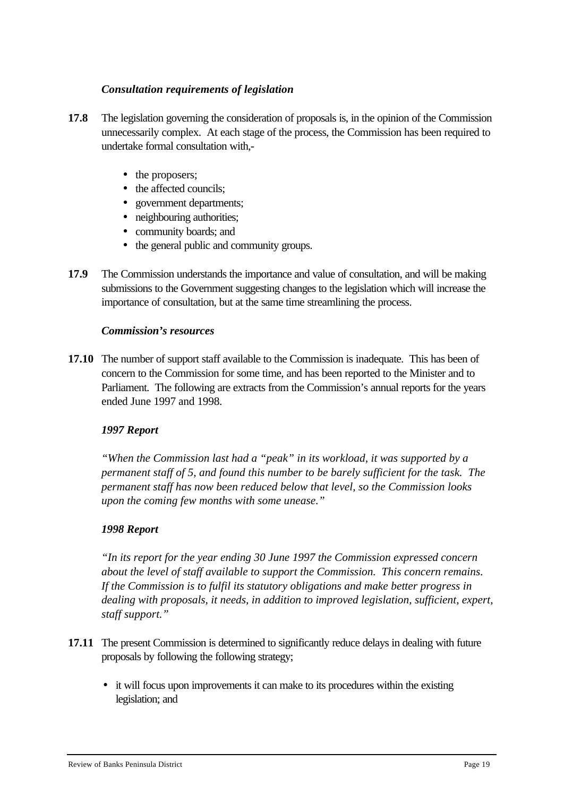#### *Consultation requirements of legislation*

- **17.8** The legislation governing the consideration of proposals is, in the opinion of the Commission unnecessarily complex. At each stage of the process, the Commission has been required to undertake formal consultation with,-
	- the proposers;
	- the affected councils;
	- government departments;
	- neighbouring authorities;
	- community boards; and
	- the general public and community groups.
- **17.9** The Commission understands the importance and value of consultation, and will be making submissions to the Government suggesting changes to the legislation which will increase the importance of consultation, but at the same time streamlining the process.

#### *Commission's resources*

**17.10** The number of support staff available to the Commission is inadequate. This has been of concern to the Commission for some time, and has been reported to the Minister and to Parliament. The following are extracts from the Commission's annual reports for the years ended June 1997 and 1998.

#### *1997 Report*

*"When the Commission last had a "peak" in its workload, it was supported by a permanent staff of 5, and found this number to be barely sufficient for the task. The permanent staff has now been reduced below that level, so the Commission looks upon the coming few months with some unease."*

#### *1998 Report*

*"In its report for the year ending 30 June 1997 the Commission expressed concern about the level of staff available to support the Commission. This concern remains. If the Commission is to fulfil its statutory obligations and make better progress in dealing with proposals, it needs, in addition to improved legislation, sufficient, expert, staff support."*

- **17.11** The present Commission is determined to significantly reduce delays in dealing with future proposals by following the following strategy;
	- it will focus upon improvements it can make to its procedures within the existing legislation; and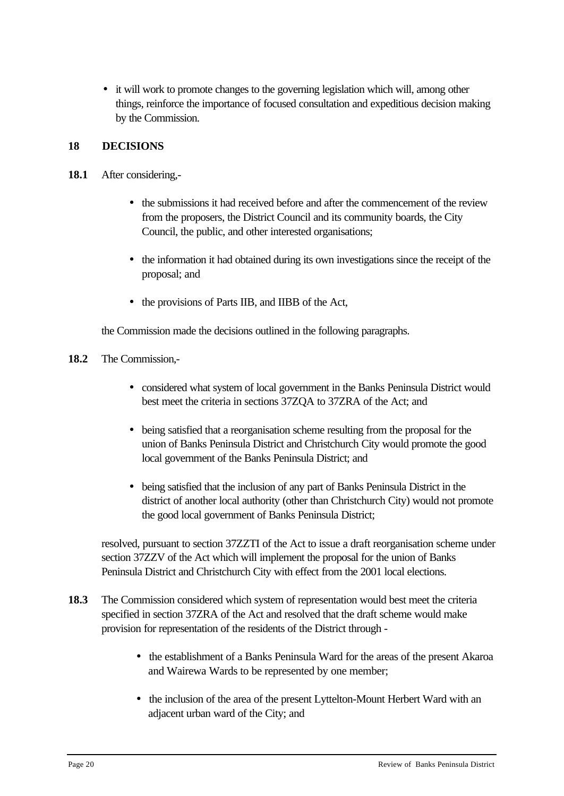• it will work to promote changes to the governing legislation which will, among other things, reinforce the importance of focused consultation and expeditious decision making by the Commission.

# **18 DECISIONS**

- **18.1** After considering,-
	- the submissions it had received before and after the commencement of the review from the proposers, the District Council and its community boards, the City Council, the public, and other interested organisations;
	- the information it had obtained during its own investigations since the receipt of the proposal; and
	- the provisions of Parts IIB, and IIBB of the Act,

the Commission made the decisions outlined in the following paragraphs.

#### **18.2** The Commission,-

- considered what system of local government in the Banks Peninsula District would best meet the criteria in sections 37ZQA to 37ZRA of the Act; and
- being satisfied that a reorganisation scheme resulting from the proposal for the union of Banks Peninsula District and Christchurch City would promote the good local government of the Banks Peninsula District; and
- being satisfied that the inclusion of any part of Banks Peninsula District in the district of another local authority (other than Christchurch City) would not promote the good local government of Banks Peninsula District;

resolved, pursuant to section 37ZZTI of the Act to issue a draft reorganisation scheme under section 37ZZV of the Act which will implement the proposal for the union of Banks Peninsula District and Christchurch City with effect from the 2001 local elections.

- **18.3** The Commission considered which system of representation would best meet the criteria specified in section 37ZRA of the Act and resolved that the draft scheme would make provision for representation of the residents of the District through -
	- the establishment of a Banks Peninsula Ward for the areas of the present Akaroa and Wairewa Wards to be represented by one member;
	- the inclusion of the area of the present Lyttelton-Mount Herbert Ward with an adjacent urban ward of the City; and